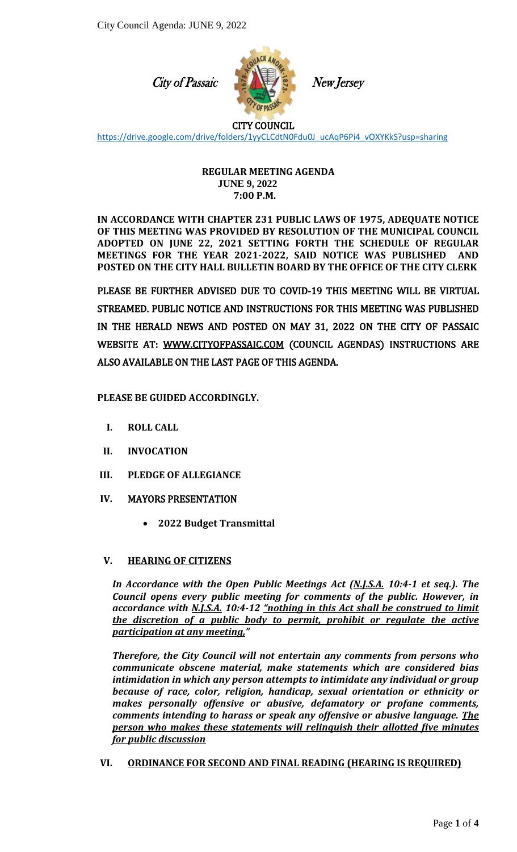City of Passaic



New Jersey

## CITY COUNCIL

[https://drive.google.com/drive/folders/1yyCLCdtN0Fdu0J\\_ucAqP6Pi4\\_vOXYKkS?usp=sharing](https://drive.google.com/drive/folders/1yyCLCdtN0Fdu0J_ucAqP6Pi4_vOXYKkS?usp=sharing)

#### **REGULAR MEETING AGENDA JUNE 9, 2022 7:00 P.M.**

**IN ACCORDANCE WITH CHAPTER 231 PUBLIC LAWS OF 1975, ADEQUATE NOTICE OF THIS MEETING WAS PROVIDED BY RESOLUTION OF THE MUNICIPAL COUNCIL ADOPTED ON JUNE 22, 2021 SETTING FORTH THE SCHEDULE OF REGULAR MEETINGS FOR THE YEAR 2021-2022, SAID NOTICE WAS PUBLISHED AND POSTED ON THE CITY HALL BULLETIN BOARD BY THE OFFICE OF THE CITY CLERK**

PLEASE BE FURTHER ADVISED DUE TO COVID-19 THIS MEETING WILL BE VIRTUAL STREAMED. PUBLIC NOTICE AND INSTRUCTIONS FOR THIS MEETING WAS PUBLISHED IN THE HERALD NEWS AND POSTED ON MAY 31, 2022 ON THE CITY OF PASSAIC WEBSITE AT: [WWW.CITYOFPASSAIC.COM](http://www.cityofpassaic.com/) (COUNCIL AGENDAS) INSTRUCTIONS ARE ALSO AVAILABLE ON THE LAST PAGE OF THIS AGENDA.

## **PLEASE BE GUIDED ACCORDINGLY.**

- **I. ROLL CALL**
- **II. INVOCATION**
- **III. PLEDGE OF ALLEGIANCE**
- **IV.** MAYORS PRESENTATION
	- **2022 Budget Transmittal**

### **V. HEARING OF CITIZENS**

*In Accordance with the Open Public Meetings Act (N.J.S.A. 10:4-1 et seq.). The Council opens every public meeting for comments of the public. However, in accordance with N.J.S.A. 10:4-12 "nothing in this Act shall be construed to limit the discretion of a public body to permit, prohibit or regulate the active participation at any meeting,"*

*Therefore, the City Council will not entertain any comments from persons who communicate obscene material, make statements which are considered bias intimidation in which any person attempts to intimidate any individual or group because of race, color, religion, handicap, sexual orientation or ethnicity or makes personally offensive or abusive, defamatory or profane comments, comments intending to harass or speak any offensive or abusive language. The person who makes these statements will relinquish their allotted five minutes for public discussion*

**VI. ORDINANCE FOR SECOND AND FINAL READING (HEARING IS REQUIRED)**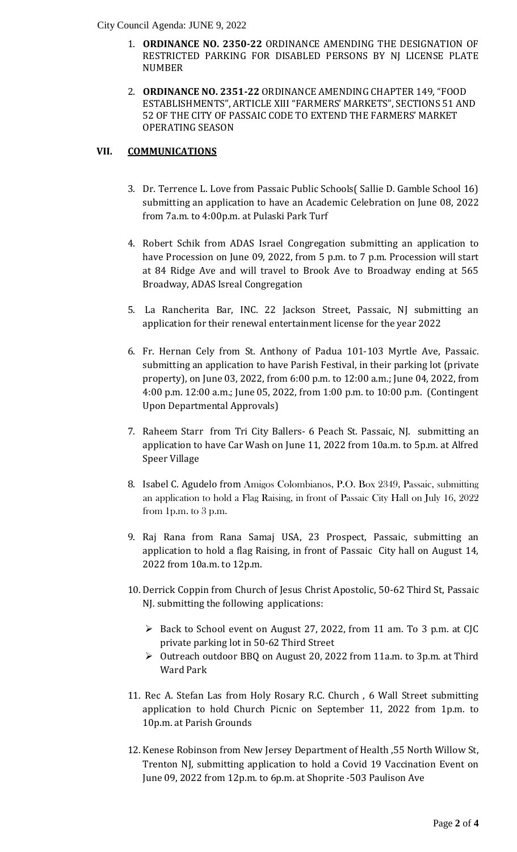City Council Agenda: JUNE 9, 2022

- RESTRICTED PARKING FOR DISABLED PERSONS BY NJ LICENSE PLATE 1. **ORDINANCE NO. 2350-22** ORDINANCE AMENDING THE DESIGNATION OF NUMBER
- 2. **ORDINANCE NO. 2351-22** ORDINANCE AMENDING CHAPTER 149, "FOOD ESTABLISHMENTS", ARTICLE XIII "FARMERS' MARKETS", SECTIONS 51 AND 52 OF THE CITY OF PASSAIC CODE TO EXTEND THE FARMERS' MARKET OPERATING SEASON

## **VII. COMMUNICATIONS**

- 3. Dr. Terrence L. Love from Passaic Public Schools( Sallie D. Gamble School 16) submitting an application to have an Academic Celebration on June 08, 2022 from 7a.m. to 4:00p.m. at Pulaski Park Turf
- 4. Robert Schik from ADAS Israel Congregation submitting an application to have Procession on June 09, 2022, from 5 p.m. to 7 p.m. Procession will start at 84 Ridge Ave and will travel to Brook Ave to Broadway ending at 565 Broadway, ADAS Isreal Congregation
- 5. La Rancherita Bar, INC. 22 Jackson Street, Passaic, NJ submitting an application for their renewal entertainment license for the year 2022
- 6. Fr. Hernan Cely from St. Anthony of Padua 101-103 Myrtle Ave, Passaic. submitting an application to have Parish Festival, in their parking lot (private property), on June 03, 2022, from 6:00 p.m. to 12:00 a.m.; June 04, 2022, from 4:00 p.m. 12:00 a.m.; June 05, 2022, from 1:00 p.m. to 10:00 p.m. (Contingent Upon Departmental Approvals)
- 7. Raheem Starr from Tri City Ballers- 6 Peach St. Passaic, NJ. submitting an application to have Car Wash on June 11, 2022 from 10a.m. to 5p.m. at Alfred Speer Village
- 8. Isabel C. Agudelo from Amigos Colombianos, P.O. Box 2349, Passaic, submitting an application to hold a Flag Raising, in front of Passaic City Hall on July 16, 2022 from 1p.m. to 3 p.m.
- 9. Raj Rana from Rana Samaj USA, 23 Prospect, Passaic, submitting an application to hold a flag Raising, in front of Passaic City hall on August 14, 2022 from 10a.m. to 12p.m.
- 10. Derrick Coppin from Church of Jesus Christ Apostolic, 50-62 Third St, Passaic NJ. submitting the following applications:
	- $\triangleright$  Back to School event on August 27, 2022, from 11 am. To 3 p.m. at CJC private parking lot in 50-62 Third Street
	- Outreach outdoor BBQ on August 20, 2022 from 11a.m. to 3p.m. at Third Ward Park
- 11. Rec A. Stefan Las from Holy Rosary R.C. Church , 6 Wall Street submitting application to hold Church Picnic on September 11, 2022 from 1p.m. to 10p.m. at Parish Grounds
- 12. Kenese Robinson from New Jersey Department of Health ,55 North Willow St, Trenton NJ, submitting application to hold a Covid 19 Vaccination Event on June 09, 2022 from 12p.m. to 6p.m. at Shoprite -503 Paulison Ave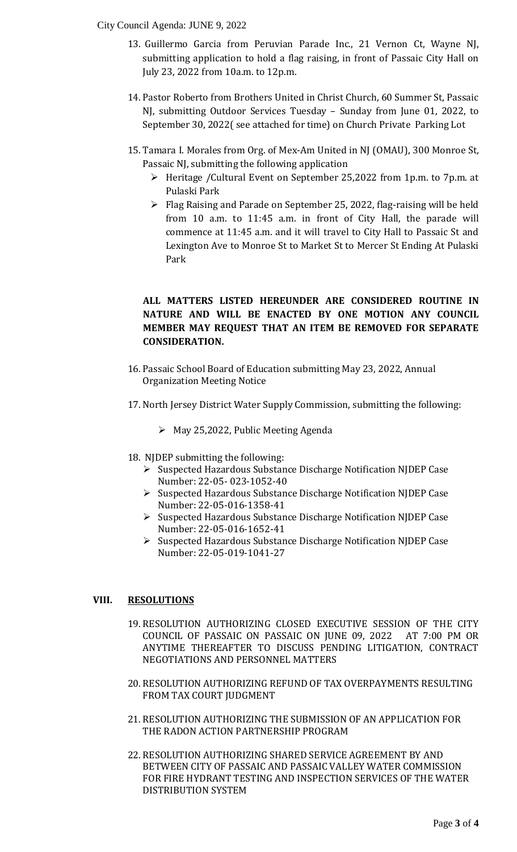#### City Council Agenda: JUNE 9, 2022

- submitting application to hold a flag raising, in front of Passaic City Hall on 13. Guillermo Garcia from Peruvian Parade Inc., 21 Vernon Ct, Wayne NJ, July 23, 2022 from 10a.m. to 12p.m.
- 14. Pastor Roberto from Brothers United in Christ Church, 60 Summer St, Passaic NJ, submitting Outdoor Services Tuesday – Sunday from June 01, 2022, to September 30, 2022( see attached for time) on Church Private Parking Lot
- 15. Tamara I. Morales from Org. of Mex-Am United in NJ (OMAU), 300 Monroe St, Passaic NJ, submitting the following application
	- $\triangleright$  Heritage /Cultural Event on September 25,2022 from 1p.m. to 7p.m. at Pulaski Park
	- Flag Raising and Parade on September 25, 2022, flag-raising will be held from 10 a.m. to 11:45 a.m. in front of City Hall, the parade will commence at 11:45 a.m. and it will travel to City Hall to Passaic St and Lexington Ave to Monroe St to Market St to Mercer St Ending At Pulaski Park

# **ALL MATTERS LISTED HEREUNDER ARE CONSIDERED ROUTINE IN NATURE AND WILL BE ENACTED BY ONE MOTION ANY COUNCIL MEMBER MAY REQUEST THAT AN ITEM BE REMOVED FOR SEPARATE CONSIDERATION.**

- 16. Passaic School Board of Education submitting May 23, 2022, Annual Organization Meeting Notice
- 17. North Jersey District Water Supply Commission, submitting the following:
	- May 25,2022, Public Meeting Agenda
- 18. NJDEP submitting the following:
	- Suspected Hazardous Substance Discharge Notification NJDEP Case Number: 22-05- 023-1052-40
	- > Suspected Hazardous Substance Discharge Notification NJDEP Case Number: 22-05-016-1358-41
	- Suspected Hazardous Substance Discharge Notification NJDEP Case Number: 22-05-016-1652-41
	- Suspected Hazardous Substance Discharge Notification NJDEP Case Number: 22-05-019-1041-27

### **VIII. RESOLUTIONS**

- 19. RESOLUTION AUTHORIZING CLOSED EXECUTIVE SESSION OF THE CITY COUNCIL OF PASSAIC ON PASSAIC ON JUNE 09, 2022 AT 7:00 PM OR ANYTIME THEREAFTER TO DISCUSS PENDING LITIGATION, CONTRACT NEGOTIATIONS AND PERSONNEL MATTERS
- 20. RESOLUTION AUTHORIZING REFUND OF TAX OVERPAYMENTS RESULTING FROM TAX COURT JUDGMENT
- 21. RESOLUTION AUTHORIZING THE SUBMISSION OF AN APPLICATION FOR THE RADON ACTION PARTNERSHIP PROGRAM
- 22. RESOLUTION AUTHORIZING SHARED SERVICE AGREEMENT BY AND BETWEEN CITY OF PASSAIC AND PASSAIC VALLEY WATER COMMISSION FOR FIRE HYDRANT TESTING AND INSPECTION SERVICES OF THE WATER DISTRIBUTION SYSTEM